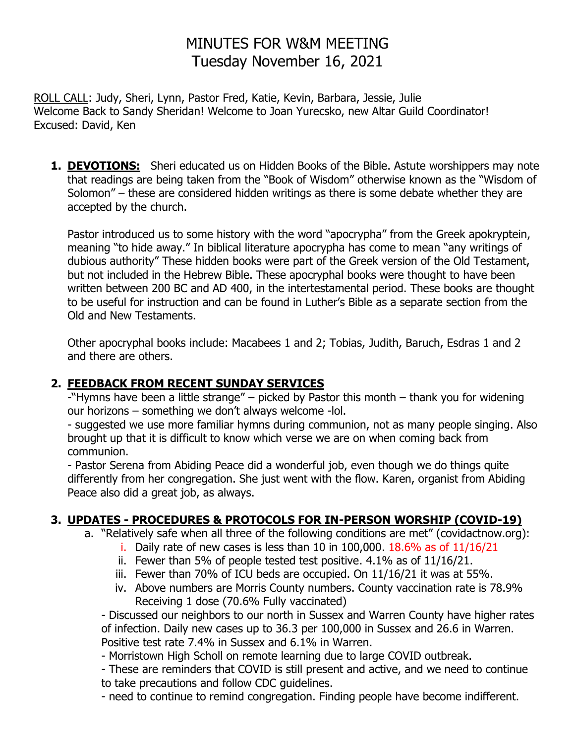# MINUTES FOR W&M MEETING Tuesday November 16, 2021

ROLL CALL: Judy, Sheri, Lynn, Pastor Fred, Katie, Kevin, Barbara, Jessie, Julie Welcome Back to Sandy Sheridan! Welcome to Joan Yurecsko, new Altar Guild Coordinator! Excused: David, Ken

**1. DEVOTIONS:** Sheri educated us on Hidden Books of the Bible. Astute worshippers may note that readings are being taken from the "Book of Wisdom" otherwise known as the "Wisdom of Solomon" – these are considered hidden writings as there is some debate whether they are accepted by the church.

Pastor introduced us to some history with the word "apocrypha" from the Greek apokryptein, meaning "to hide away." In biblical literature apocrypha has come to mean "any writings of dubious authority" These hidden books were part of the Greek version of the Old Testament, but not included in the Hebrew Bible. These apocryphal books were thought to have been written between 200 BC and AD 400, in the intertestamental period. These books are thought to be useful for instruction and can be found in Luther's Bible as a separate section from the Old and New Testaments.

Other apocryphal books include: Macabees 1 and 2; Tobias, Judith, Baruch, Esdras 1 and 2 and there are others.

## **2. FEEDBACK FROM RECENT SUNDAY SERVICES**

-"Hymns have been a little strange" – picked by Pastor this month – thank you for widening our horizons – something we don't always welcome -lol.

- suggested we use more familiar hymns during communion, not as many people singing. Also brought up that it is difficult to know which verse we are on when coming back from communion.

- Pastor Serena from Abiding Peace did a wonderful job, even though we do things quite differently from her congregation. She just went with the flow. Karen, organist from Abiding Peace also did a great job, as always.

## **3. UPDATES - PROCEDURES & PROTOCOLS FOR IN-PERSON WORSHIP (COVID-19)**

- a. "Relatively safe when all three of the following conditions are met" (covidactnow.org):
	- i. Daily rate of new cases is less than 10 in 100,000.  $18.6\%$  as of  $11/16/21$
	- ii. Fewer than 5% of people tested test positive. 4.1% as of 11/16/21.
	- iii. Fewer than 70% of ICU beds are occupied. On 11/16/21 it was at 55%.
	- iv. Above numbers are Morris County numbers. County vaccination rate is 78.9% Receiving 1 dose (70.6% Fully vaccinated)

- Discussed our neighbors to our north in Sussex and Warren County have higher rates of infection. Daily new cases up to 36.3 per 100,000 in Sussex and 26.6 in Warren. Positive test rate 7.4% in Sussex and 6.1% in Warren.

- Morristown High Scholl on remote learning due to large COVID outbreak.

- These are reminders that COVID is still present and active, and we need to continue to take precautions and follow CDC guidelines.

- need to continue to remind congregation. Finding people have become indifferent.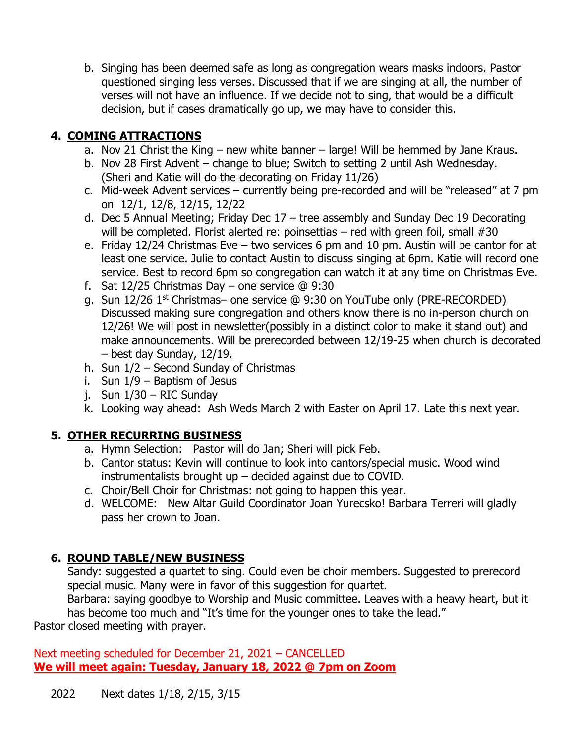b. Singing has been deemed safe as long as congregation wears masks indoors. Pastor questioned singing less verses. Discussed that if we are singing at all, the number of verses will not have an influence. If we decide not to sing, that would be a difficult decision, but if cases dramatically go up, we may have to consider this.

## **4. COMING ATTRACTIONS**

- a. Nov 21 Christ the King new white banner large! Will be hemmed by Jane Kraus.
- b. Nov 28 First Advent change to blue; Switch to setting 2 until Ash Wednesday. (Sheri and Katie will do the decorating on Friday 11/26)
- c. Mid-week Advent services currently being pre-recorded and will be "released" at 7 pm on 12/1, 12/8, 12/15, 12/22
- d. Dec 5 Annual Meeting; Friday Dec 17 tree assembly and Sunday Dec 19 Decorating will be completed. Florist alerted re: poinsettias – red with green foil, small #30
- e. Friday 12/24 Christmas Eve two services 6 pm and 10 pm. Austin will be cantor for at least one service. Julie to contact Austin to discuss singing at 6pm. Katie will record one service. Best to record 6pm so congregation can watch it at any time on Christmas Eve.
- f. Sat 12/25 Christmas Day one service  $@9:30$
- g. Sun 12/26 1st Christmas– one service @ 9:30 on YouTube only (PRE-RECORDED) Discussed making sure congregation and others know there is no in-person church on 12/26! We will post in newsletter(possibly in a distinct color to make it stand out) and make announcements. Will be prerecorded between 12/19-25 when church is decorated – best day Sunday, 12/19.
- h. Sun 1/2 Second Sunday of Christmas
- i. Sun 1/9 Baptism of Jesus
- j. Sun 1/30 RIC Sunday
- k. Looking way ahead: Ash Weds March 2 with Easter on April 17. Late this next year.

## **5. OTHER RECURRING BUSINESS**

- a. Hymn Selection: Pastor will do Jan; Sheri will pick Feb.
- b. Cantor status: Kevin will continue to look into cantors/special music. Wood wind instrumentalists brought up – decided against due to COVID.
- c. Choir/Bell Choir for Christmas: not going to happen this year.
- d. WELCOME: New Altar Guild Coordinator Joan Yurecsko! Barbara Terreri will gladly pass her crown to Joan.

## **6. ROUND TABLE/NEW BUSINESS**

Sandy: suggested a quartet to sing. Could even be choir members. Suggested to prerecord special music. Many were in favor of this suggestion for quartet.

Barbara: saying goodbye to Worship and Music committee. Leaves with a heavy heart, but it has become too much and "It's time for the younger ones to take the lead."

Pastor closed meeting with prayer.

Next meeting scheduled for December 21, 2021 – CANCELLED **We will meet again: Tuesday, January 18, 2022 @ 7pm on Zoom**